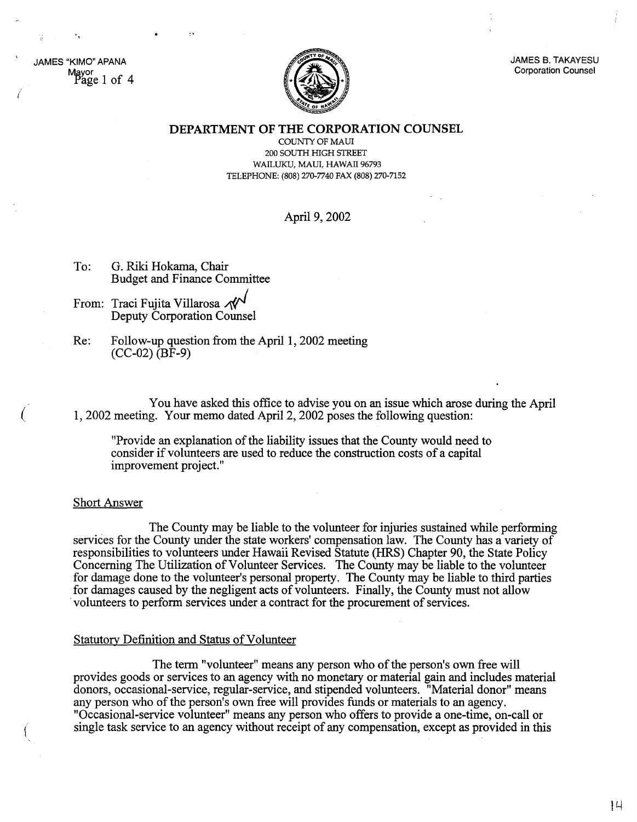JAMES "KIMO" APANA Mayor .Page 1 of 4

(

(



JAMES B. TAKAYESU Corporation Counsel

**DEPARTMENT OF THE CORPORATION COUNSEL**

COUNTY OF MAUl 200 SOUTH HIGH STREET WAILUKU, MAUl, HAWAII 96793 TELEPHONE: (808) 270-7740 FAX (808) 270-7152

# April 9, 2002

- To: G. Riki Hokama, Chair Budget and Finance Committee
- From: Traci Fujita Villarosa Deputy Corporation Counsel
- Re: Follow-up question from the April 1, 2002 meeting  $(CC-02)$   $(BF-9)$

You have asked this office to advise you on an issue which arose during the April l, 2002 meeting. Your memo dated April 2, 2002 poses the following question:

"Provide an explanation of the liability issues that the County would need to consider if volunteers are used to reduce the construction costs of a capital improvement project."

### Short Answer

The County may be liable to the volunteer for injuries sustained while performing services for the County under the state workers' compensation law. The County has a variety of responsibilities to volunteers under Hawaii Revised Statute (HRS) Chapter 90, the State Policy Concerning The Utilization of Volunteer Services. The County may be liable to the volunteer for damage done to the volunteer's personal property. The County may be liable to third parties for damages caused by the negligent acts of volunteers. Finally, the County must not allow volunteers to perform services under a contract for the procurement of services.

### Statutory Definition and Status of Volunteer

The term "volunteer" means any person who of the person's own free will provides goods or services to an agency with no monetary or material gain and includes material donors, occasional-service, regular-service, and stipended volunteers. "Material donor" means any person who of the person's own free will provides funds or materials to an agency. "Occasional-service volunteer" means any person who offers to provide a one-time, on-call or single task service to an agency without receipt of any compensation, except as provided in this

 $|L|$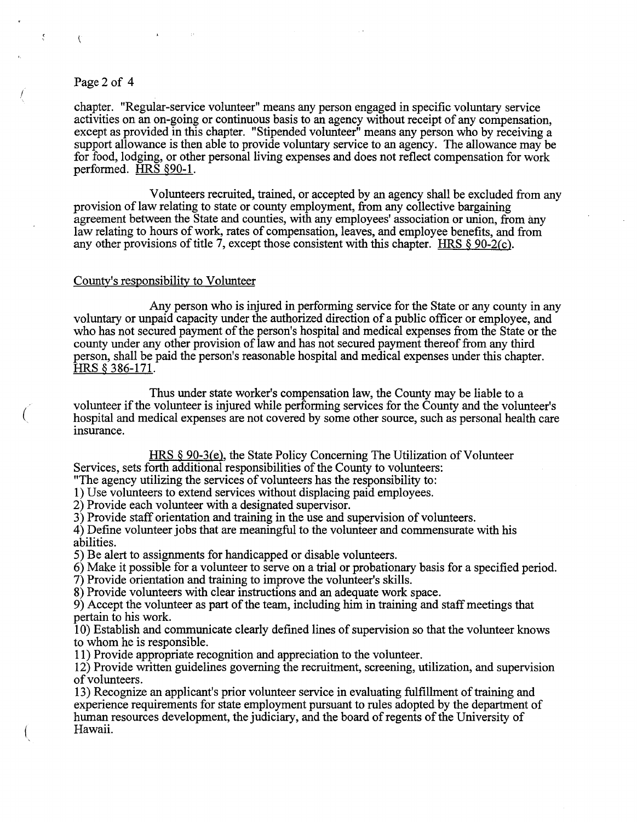## Page 2 of 4

 $\mathcal{C}$ 

÷,

(

chapter. "Regular-service volunteer" means any person engaged in specific voluntary service activities on an on-going or continuous basis to an agency without receipt of any compensation, except as provided in this chapter. "Stipended volunteer" means any person who by receiving a support allowance is then able to provide voluntary service to an agency. The allowance may be for food, lodging, or other personal living expenses and does not reflect compensation for work performed. HRS §90-1.

Volunteers recruited, trained, or accepted by an agency shall be excluded from any provision of law relating to state or county employment, from any collective bargaining agreement between the State and counties, with any employees' association or union, from any law relating to hours of work, rates of compensation, leaves, and employee benefits, and from any other provisions of title 7, except those consistent with this chapter. HRS  $\S 90-2(c)$ .

#### County's responsibility to Volunteer

Any person who is injured in performing service for the State or any county in any voluntary or unpaid capacity under the authorized direction of a public officer or employee, and who has not secured payment of the person's hospital and medical expenses from the State or the county under any other provision of law and has not secured payment thereof from any third person, shall be paid the person's reasonable hospital and medical expenses under this chapter. HRS § 386-171.

Thus under state worker's compensation law, the County may be liable to a volunteer if the volunteer is injured while performing services for the County and the volunteer's hospital and medical expenses are not covered by some other source, such as personal health care insurance.

 $HRS \$ § 90-3(e), the State Policy Concerning The Utilization of Volunteer

Services, sets forth additional responsibilities of the County to volunteers:

"The agency utilizing the services of volunteers has the responsibility to:

1) Use volunteers to extend services without displacing paid employees.

2) Provide each volunteer with a designated supervisor.

3) Provide staff orientation and training in the use and supervision of volunteers.

4) Define volunteer jobs that are meaningful to the volunteer and commensurate with his abilities.

5) Be alert to assignments for handicapped or disable volunteers.

6) Make it possible for a volunteer to serve on a trial or probationary basis for a specified period.

7) Provide orientation and training to improve the volunteer's skills.

8) Provide volunteers with clear instructions and an adequate work space.

9) Accept the volunteer as part of the team, including him in training and staff meetings that pertain to his work.

10) Establish and communicate clearly defined lines of supervision so that the volunteer knows to whom he is responsible.

**11)** Provide appropriate recognition and appreciation to the volunteer.

12) Provide written guidelines governing the recruitment, screening, utilization, and supervision of volunteers.

13) Recognize an applicant's prior volunteer service in evaluating fulfillment of training and experience requirements for state employment pursuant to rules adopted by the department of human resources development, the judiciary, and the board of regents of the University of Hawaii.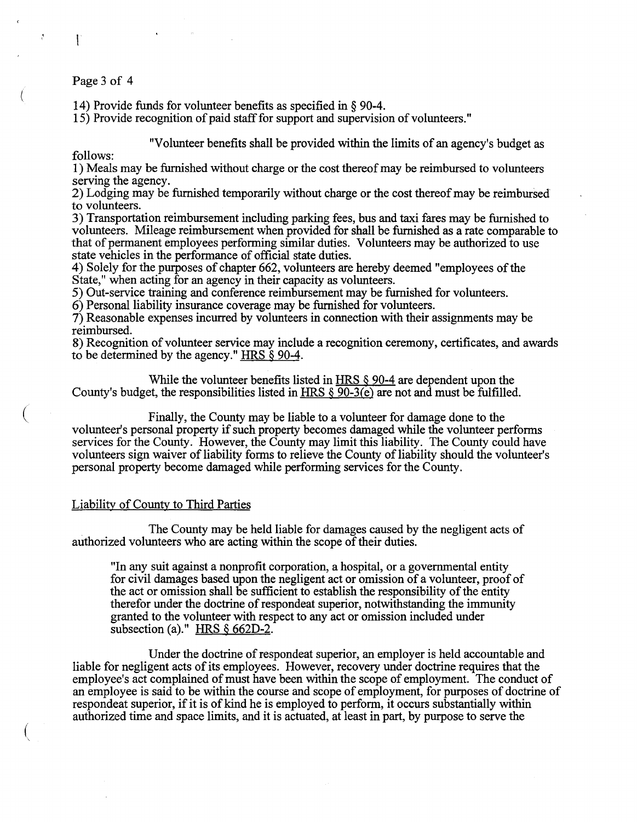#### Page 3 of 4

 $\mathcal{L}$ 

14) Provide funds for volunteer benefits as specified in § 90-4.

15) Provide recognition of paid staff for support and supervision of volunteers."

"Volunteer benefits shall be provided within the limits of an agency's budget as

follows:

(

 $\mathcal{J}$ 

(

1) Meals may be furnished without charge or the cost thereofmay be reimbursed to volunteers serving the agency.

2) Lodging may be furnished temporarily without charge or the cost thereofmay be reimbursed to volunteers.

3) Transportation reimbursement including parking fees, bus and taxi fares may be furnished to volunteers. Mileage reimbursement when provided for shall be furnished as a rate comparable to that of permanent employees performing similar duties. Volunteers may be authorized to use state vehicles in the performance of official state duties.

4) Solely for the purposes of chapter 662, volunteers are hereby deemed "employees of the State," when acting for an agency in their capacity as volunteers.

5) Out-service training and conference reimbursement may be furnished for volunteers.

6) Personal liability insurance coverage may be furnished for volunteers.

7) Reasonable expenses incurred by volunteers in connection with their assignments may be reimbursed.

8) Recognition of volunteer service may include a recognition ceremony, certificates, and awards to be determined by the agency." HRS § 90-4.

While the volunteer benefits listed in HRS  $\&$  90-4 are dependent upon the County's budget, the responsibilities listed in HRS § 90-3(e) are not and must be fulfilled.

Finally, the County may be liable to a volunteer for damage done to the volunteer's personal property if such property becomes damaged while the volunteer performs services for the County. However, the County may limit this liability. The County could have volunteers sign waiver of liability forms to relieve the County of liability should the volunteer's personal property become damaged while performing services for the County.

## Liability of County to Third Parties

. The County may be held liable for damages caused by the negligent acts of authorized volunteers who are acting within the scope of their duties.

"In any suit against a nonprofit corporation, a hospital, or a governmental entity for civil damages based upon the negligent act or omission of a volunteer, proof of the act or omission shall be sufficient to establish the responsibility of the entity therefor under the doctrine of respondeat superior, notwithstanding the immunity granted to the volunteer with respect to any act or omission included under subsection (a)." HRS § 662D-2.

Under the doctrine of respondeat superior, an employer is held accountable and liable for negligent acts of its employees. However, recovery under doctrine requires that the employee's act complained of must have been within the scope of employment. The conduct of an employee is said to be within the course and scope of employment, for purposes of doctrine of respondeat superior, if it is of kind he is employed to perform, it occurs substantially within authorized time and space limits, and it is actuated, at least in part, by purpose to serve the